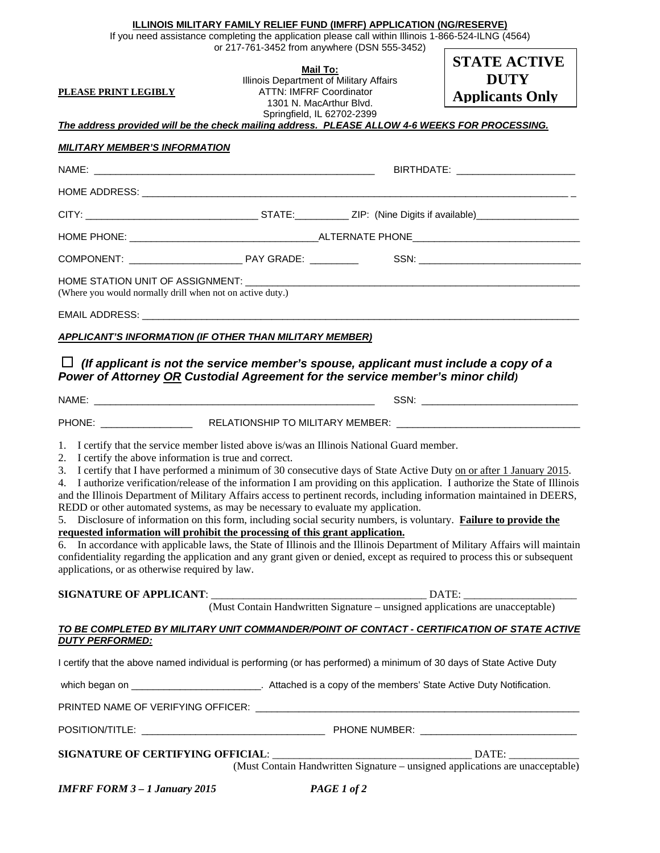## **ILLINOIS MILITARY FAMILY RELIEF FUND (IMFRF) APPLICATION (NG/RESERVE)**

If you need assistance completing the application please call within Illinois 1-866-524-ILNG (4564)

| <u>PLEASE PRINT LEGIBLY</u><br>The address provided will be the check mailing address. PLEASE ALLOW 4-6 WEEKS FOR PROCESSING.<br><b>MILITARY MEMBER'S INFORMATION</b>                                                                                                                                                                                                                                                                                                                                                                                                                                                                                                                                                                                                                                                                                                                                                                                                                                                                                                                                                                             | or 217-761-3452 from anywhere (DSN 555-3452)<br><b>Mail To:</b><br>Illinois Department of Military Affairs<br><b>ATTN: IMFRF Coordinator</b><br>1301 N. MacArthur Blvd.<br>Springfield, IL 62702-2399 |  | <b>STATE ACTIVE</b><br><b>DUTY</b><br><b>Applicants Only</b>                                                                                                                                                                   |
|---------------------------------------------------------------------------------------------------------------------------------------------------------------------------------------------------------------------------------------------------------------------------------------------------------------------------------------------------------------------------------------------------------------------------------------------------------------------------------------------------------------------------------------------------------------------------------------------------------------------------------------------------------------------------------------------------------------------------------------------------------------------------------------------------------------------------------------------------------------------------------------------------------------------------------------------------------------------------------------------------------------------------------------------------------------------------------------------------------------------------------------------------|-------------------------------------------------------------------------------------------------------------------------------------------------------------------------------------------------------|--|--------------------------------------------------------------------------------------------------------------------------------------------------------------------------------------------------------------------------------|
|                                                                                                                                                                                                                                                                                                                                                                                                                                                                                                                                                                                                                                                                                                                                                                                                                                                                                                                                                                                                                                                                                                                                                   |                                                                                                                                                                                                       |  |                                                                                                                                                                                                                                |
|                                                                                                                                                                                                                                                                                                                                                                                                                                                                                                                                                                                                                                                                                                                                                                                                                                                                                                                                                                                                                                                                                                                                                   |                                                                                                                                                                                                       |  |                                                                                                                                                                                                                                |
|                                                                                                                                                                                                                                                                                                                                                                                                                                                                                                                                                                                                                                                                                                                                                                                                                                                                                                                                                                                                                                                                                                                                                   |                                                                                                                                                                                                       |  |                                                                                                                                                                                                                                |
|                                                                                                                                                                                                                                                                                                                                                                                                                                                                                                                                                                                                                                                                                                                                                                                                                                                                                                                                                                                                                                                                                                                                                   |                                                                                                                                                                                                       |  |                                                                                                                                                                                                                                |
|                                                                                                                                                                                                                                                                                                                                                                                                                                                                                                                                                                                                                                                                                                                                                                                                                                                                                                                                                                                                                                                                                                                                                   |                                                                                                                                                                                                       |  |                                                                                                                                                                                                                                |
| (Where you would normally drill when not on active duty.)                                                                                                                                                                                                                                                                                                                                                                                                                                                                                                                                                                                                                                                                                                                                                                                                                                                                                                                                                                                                                                                                                         |                                                                                                                                                                                                       |  |                                                                                                                                                                                                                                |
|                                                                                                                                                                                                                                                                                                                                                                                                                                                                                                                                                                                                                                                                                                                                                                                                                                                                                                                                                                                                                                                                                                                                                   |                                                                                                                                                                                                       |  |                                                                                                                                                                                                                                |
| APPLICANT'S INFORMATION (IF OTHER THAN MILITARY MEMBER)                                                                                                                                                                                                                                                                                                                                                                                                                                                                                                                                                                                                                                                                                                                                                                                                                                                                                                                                                                                                                                                                                           |                                                                                                                                                                                                       |  |                                                                                                                                                                                                                                |
| $\Box$ (If applicant is not the service member's spouse, applicant must include a copy of a<br>Power of Attorney OR Custodial Agreement for the service member's minor child)                                                                                                                                                                                                                                                                                                                                                                                                                                                                                                                                                                                                                                                                                                                                                                                                                                                                                                                                                                     |                                                                                                                                                                                                       |  |                                                                                                                                                                                                                                |
|                                                                                                                                                                                                                                                                                                                                                                                                                                                                                                                                                                                                                                                                                                                                                                                                                                                                                                                                                                                                                                                                                                                                                   |                                                                                                                                                                                                       |  | SSN: Web and the contract of the contract of the contract of the contract of the contract of the contract of the contract of the contract of the contract of the contract of the contract of the contract of the contract of t |
| PHONE: RELATIONSHIP TO MILITARY MEMBER: COMMENTERENT PHONE:                                                                                                                                                                                                                                                                                                                                                                                                                                                                                                                                                                                                                                                                                                                                                                                                                                                                                                                                                                                                                                                                                       |                                                                                                                                                                                                       |  |                                                                                                                                                                                                                                |
| 1. I certify that the service member listed above is/was an Illinois National Guard member.<br>2. I certify the above information is true and correct.<br>3. I certify that I have performed a minimum of 30 consecutive days of State Active Duty on or after 1 January 2015.<br>4. I authorize verification/release of the information I am providing on this application. I authorize the State of Illinois<br>and the Illinois Department of Military Affairs access to pertinent records, including information maintained in DEERS,<br>REDD or other automated systems, as may be necessary to evaluate my application.<br>5. Disclosure of information on this form, including social security numbers, is voluntary. Failure to provide the<br>requested information will prohibit the processing of this grant application.<br>6. In accordance with applicable laws, the State of Illinois and the Illinois Department of Military Affairs will maintain<br>confidentiality regarding the application and any grant given or denied, except as required to process this or subsequent<br>applications, or as otherwise required by law. |                                                                                                                                                                                                       |  |                                                                                                                                                                                                                                |
|                                                                                                                                                                                                                                                                                                                                                                                                                                                                                                                                                                                                                                                                                                                                                                                                                                                                                                                                                                                                                                                                                                                                                   |                                                                                                                                                                                                       |  |                                                                                                                                                                                                                                |
| SIGNATURE OF APPLICANT: <u>(Must Contain Handwritten Signature – unsigned applications are unacceptable)</u>                                                                                                                                                                                                                                                                                                                                                                                                                                                                                                                                                                                                                                                                                                                                                                                                                                                                                                                                                                                                                                      |                                                                                                                                                                                                       |  |                                                                                                                                                                                                                                |
| TO BE COMPLETED BY MILITARY UNIT COMMANDER/POINT OF CONTACT - CERTIFICATION OF STATE ACTIVE<br><b>DUTY PERFORMED:</b>                                                                                                                                                                                                                                                                                                                                                                                                                                                                                                                                                                                                                                                                                                                                                                                                                                                                                                                                                                                                                             |                                                                                                                                                                                                       |  |                                                                                                                                                                                                                                |
| I certify that the above named individual is performing (or has performed) a minimum of 30 days of State Active Duty                                                                                                                                                                                                                                                                                                                                                                                                                                                                                                                                                                                                                                                                                                                                                                                                                                                                                                                                                                                                                              |                                                                                                                                                                                                       |  |                                                                                                                                                                                                                                |
| which began on ________________________________. Attached is a copy of the members' State Active Duty Notification.                                                                                                                                                                                                                                                                                                                                                                                                                                                                                                                                                                                                                                                                                                                                                                                                                                                                                                                                                                                                                               |                                                                                                                                                                                                       |  |                                                                                                                                                                                                                                |
|                                                                                                                                                                                                                                                                                                                                                                                                                                                                                                                                                                                                                                                                                                                                                                                                                                                                                                                                                                                                                                                                                                                                                   |                                                                                                                                                                                                       |  |                                                                                                                                                                                                                                |
|                                                                                                                                                                                                                                                                                                                                                                                                                                                                                                                                                                                                                                                                                                                                                                                                                                                                                                                                                                                                                                                                                                                                                   |                                                                                                                                                                                                       |  |                                                                                                                                                                                                                                |
|                                                                                                                                                                                                                                                                                                                                                                                                                                                                                                                                                                                                                                                                                                                                                                                                                                                                                                                                                                                                                                                                                                                                                   |                                                                                                                                                                                                       |  | (Must Contain Handwritten Signature – unsigned applications are unacceptable)                                                                                                                                                  |